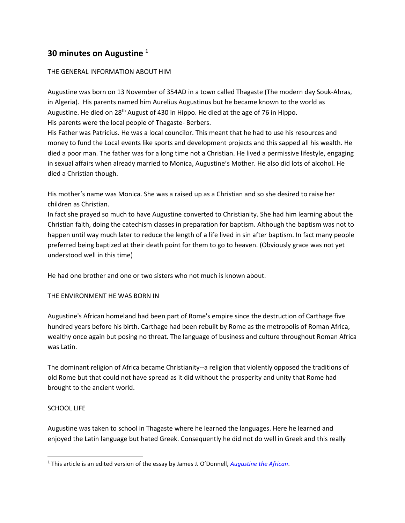# **30 minutes on Augustine <sup>1</sup>**

# THE GENERAL INFORMATION ABOUT HIM

Augustine was born on 13 November of 354AD in a town called Thagaste (The modern day Souk-Ahras, in Algeria). His parents named him Aurelius Augustinus but he became known to the world as Augustine. He died on 28th August of 430 in Hippo. He died at the age of 76 in Hippo. His parents were the local people of Thagaste- Berbers.

His Father was Patricius. He was a local councilor. This meant that he had to use his resources and money to fund the Local events like sports and development projects and this sapped all his wealth. He died a poor man. The father was for a long time not a Christian. He lived a permissive lifestyle, engaging in sexual affairs when already married to Monica, Augustine's Mother. He also did lots of alcohol. He died a Christian though.

His mother's name was Monica. She was a raised up as a Christian and so she desired to raise her children as Christian.

In fact she prayed so much to have Augustine converted to Christianity. She had him learning about the Christian faith, doing the catechism classes in preparation for baptism. Although the baptism was not to happen until way much later to reduce the length of a life lived in sin after baptism. In fact many people preferred being baptized at their death point for them to go to heaven. (Obviously grace was not yet understood well in this time)

He had one brother and one or two sisters who not much is known about.

# THE ENVIRONMENT HE WAS BORN IN

Augustine's African homeland had been part of Rome's empire since the destruction of Carthage five hundred years before his birth. Carthage had been rebuilt by Rome as the metropolis of Roman Africa, wealthy once again but posing no threat. The language of business and culture throughout Roman Africa was Latin.

The dominant religion of Africa became Christianity--a religion that violently opposed the traditions of old Rome but that could not have spread as it did without the prosperity and unity that Rome had brought to the ancient world.

# SCHOOL LIFE

l

Augustine was taken to school in Thagaste where he learned the languages. Here he learned and enjoyed the Latin language but hated Greek. Consequently he did not do well in Greek and this really

<sup>1</sup> This article is an edited version of the essay by James J. O'Donnell, *[Augustine the African](http://www9.georgetown.edu/faculty/jod/twayne/aug1.html)*.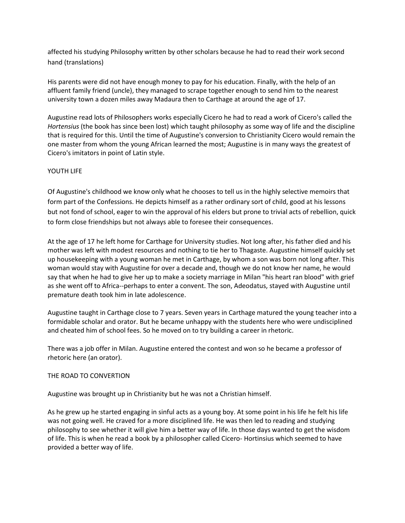affected his studying Philosophy written by other scholars because he had to read their work second hand (translations)

His parents were did not have enough money to pay for his education. Finally, with the help of an affluent family friend (uncle), they managed to scrape together enough to send him to the nearest university town a dozen miles away Madaura then to Carthage at around the age of 17.

Augustine read lots of Philosophers works especially Cicero he had to read a work of Cicero's called the *Hortensius* (the book has since been lost) which taught philosophy as some way of life and the discipline that is required for this. Until the time of Augustine's conversion to Christianity Cicero would remain the one master from whom the young African learned the most; Augustine is in many ways the greatest of Cicero's imitators in point of Latin style.

# YOUTH LIFE

Of Augustine's childhood we know only what he chooses to tell us in the highly selective memoirs that form part of the Confessions. He depicts himself as a rather ordinary sort of child, good at his lessons but not fond of school, eager to win the approval of his elders but prone to trivial acts of rebellion, quick to form close friendships but not always able to foresee their consequences.

At the age of 17 he left home for Carthage for University studies. Not long after, his father died and his mother was left with modest resources and nothing to tie her to Thagaste. Augustine himself quickly set up housekeeping with a young woman he met in Carthage, by whom a son was born not long after. This woman would stay with Augustine for over a decade and, though we do not know her name, he would say that when he had to give her up to make a society marriage in Milan "his heart ran blood" with grief as she went off to Africa--perhaps to enter a convent. The son, Adeodatus, stayed with Augustine until premature death took him in late adolescence.

Augustine taught in Carthage close to 7 years. Seven years in Carthage matured the young teacher into a formidable scholar and orator. But he became unhappy with the students here who were undisciplined and cheated him of school fees. So he moved on to try building a career in rhetoric.

There was a job offer in Milan. Augustine entered the contest and won so he became a professor of rhetoric here (an orator).

# THE ROAD TO CONVERTION

Augustine was brought up in Christianity but he was not a Christian himself.

As he grew up he started engaging in sinful acts as a young boy. At some point in his life he felt his life was not going well. He craved for a more disciplined life. He was then led to reading and studying philosophy to see whether it will give him a better way of life. In those days wanted to get the wisdom of life. This is when he read a book by a philosopher called Cicero- Hortinsius which seemed to have provided a better way of life.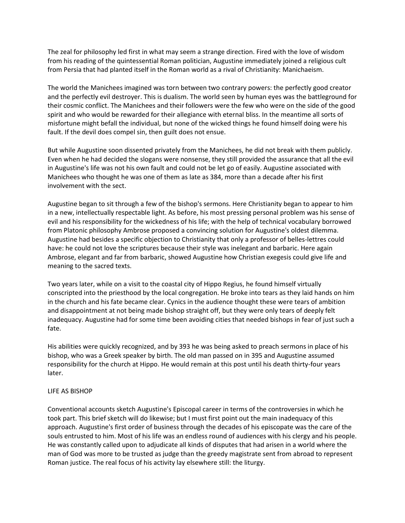The zeal for philosophy led first in what may seem a strange direction. Fired with the love of wisdom from his reading of the quintessential Roman politician, Augustine immediately joined a religious cult from Persia that had planted itself in the Roman world as a rival of Christianity: Manichaeism.

The world the Manichees imagined was torn between two contrary powers: the perfectly good creator and the perfectly evil destroyer. This is dualism. The world seen by human eyes was the battleground for their cosmic conflict. The Manichees and their followers were the few who were on the side of the good spirit and who would be rewarded for their allegiance with eternal bliss. In the meantime all sorts of misfortune might befall the individual, but none of the wicked things he found himself doing were his fault. If the devil does compel sin, then guilt does not ensue.

But while Augustine soon dissented privately from the Manichees, he did not break with them publicly. Even when he had decided the slogans were nonsense, they still provided the assurance that all the evil in Augustine's life was not his own fault and could not be let go of easily. Augustine associated with Manichees who thought he was one of them as late as 384, more than a decade after his first involvement with the sect.

Augustine began to sit through a few of the bishop's sermons. Here Christianity began to appear to him in a new, intellectually respectable light. As before, his most pressing personal problem was his sense of evil and his responsibility for the wickedness of his life; with the help of technical vocabulary borrowed from Platonic philosophy Ambrose proposed a convincing solution for Augustine's oldest dilemma. Augustine had besides a specific objection to Christianity that only a professor of belles-lettres could have: he could not love the scriptures because their style was inelegant and barbaric. Here again Ambrose, elegant and far from barbaric, showed Augustine how Christian exegesis could give life and meaning to the sacred texts.

Two years later, while on a visit to the coastal city of Hippo Regius, he found himself virtually conscripted into the priesthood by the local congregation. He broke into tears as they laid hands on him in the church and his fate became clear. Cynics in the audience thought these were tears of ambition and disappointment at not being made bishop straight off, but they were only tears of deeply felt inadequacy. Augustine had for some time been avoiding cities that needed bishops in fear of just such a fate.

His abilities were quickly recognized, and by 393 he was being asked to preach sermons in place of his bishop, who was a Greek speaker by birth. The old man passed on in 395 and Augustine assumed responsibility for the church at Hippo. He would remain at this post until his death thirty-four years later.

#### LIFE AS BISHOP

Conventional accounts sketch Augustine's Episcopal career in terms of the controversies in which he took part. This brief sketch will do likewise; but I must first point out the main inadequacy of this approach. Augustine's first order of business through the decades of his episcopate was the care of the souls entrusted to him. Most of his life was an endless round of audiences with his clergy and his people. He was constantly called upon to adjudicate all kinds of disputes that had arisen in a world where the man of God was more to be trusted as judge than the greedy magistrate sent from abroad to represent Roman justice. The real focus of his activity lay elsewhere still: the liturgy.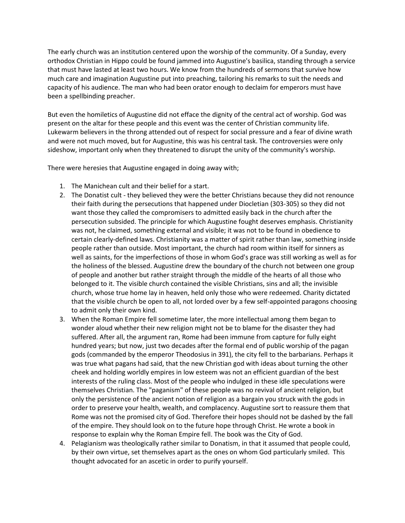The early church was an institution centered upon the worship of the community. Of a Sunday, every orthodox Christian in Hippo could be found jammed into Augustine's basilica, standing through a service that must have lasted at least two hours. We know from the hundreds of sermons that survive how much care and imagination Augustine put into preaching, tailoring his remarks to suit the needs and capacity of his audience. The man who had been orator enough to declaim for emperors must have been a spellbinding preacher.

But even the homiletics of Augustine did not efface the dignity of the central act of worship. God was present on the altar for these people and this event was the center of Christian community life. Lukewarm believers in the throng attended out of respect for social pressure and a fear of divine wrath and were not much moved, but for Augustine, this was his central task. The controversies were only sideshow, important only when they threatened to disrupt the unity of the community's worship.

There were heresies that Augustine engaged in doing away with;

- 1. The Manichean cult and their belief for a start.
- 2. The Donatist cult they believed they were the better Christians because they did not renounce their faith during the persecutions that happened under Diocletian (303-305) so they did not want those they called the compromisers to admitted easily back in the church after the persecution subsided. The principle for which Augustine fought deserves emphasis. Christianity was not, he claimed, something external and visible; it was not to be found in obedience to certain clearly-defined laws. Christianity was a matter of spirit rather than law, something inside people rather than outside. Most important, the church had room within itself for sinners as well as saints, for the imperfections of those in whom God's grace was still working as well as for the holiness of the blessed. Augustine drew the boundary of the church not between one group of people and another but rather straight through the middle of the hearts of all those who belonged to it. The visible church contained the visible Christians, sins and all; the invisible church, whose true home lay in heaven, held only those who were redeemed. Charity dictated that the visible church be open to all, not lorded over by a few self-appointed paragons choosing to admit only their own kind.
- 3. When the Roman Empire fell sometime later, the more intellectual among them began to wonder aloud whether their new religion might not be to blame for the disaster they had suffered. After all, the argument ran, Rome had been immune from capture for fully eight hundred years; but now, just two decades after the formal end of public worship of the pagan gods (commanded by the emperor Theodosius in 391), the city fell to the barbarians. Perhaps it was true what pagans had said, that the new Christian god with ideas about turning the other cheek and holding worldly empires in low esteem was not an efficient guardian of the best interests of the ruling class. Most of the people who indulged in these idle speculations were themselves Christian. The "paganism" of these people was no revival of ancient religion, but only the persistence of the ancient notion of religion as a bargain you struck with the gods in order to preserve your health, wealth, and complacency. Augustine sort to reassure them that Rome was not the promised city of God. Therefore their hopes should not be dashed by the fall of the empire. They should look on to the future hope through Christ. He wrote a book in response to explain why the Roman Empire fell. The book was the City of God.
- 4. Pelagianism was theologically rather similar to Donatism, in that it assumed that people could, by their own virtue, set themselves apart as the ones on whom God particularly smiled. This thought advocated for an ascetic in order to purify yourself.